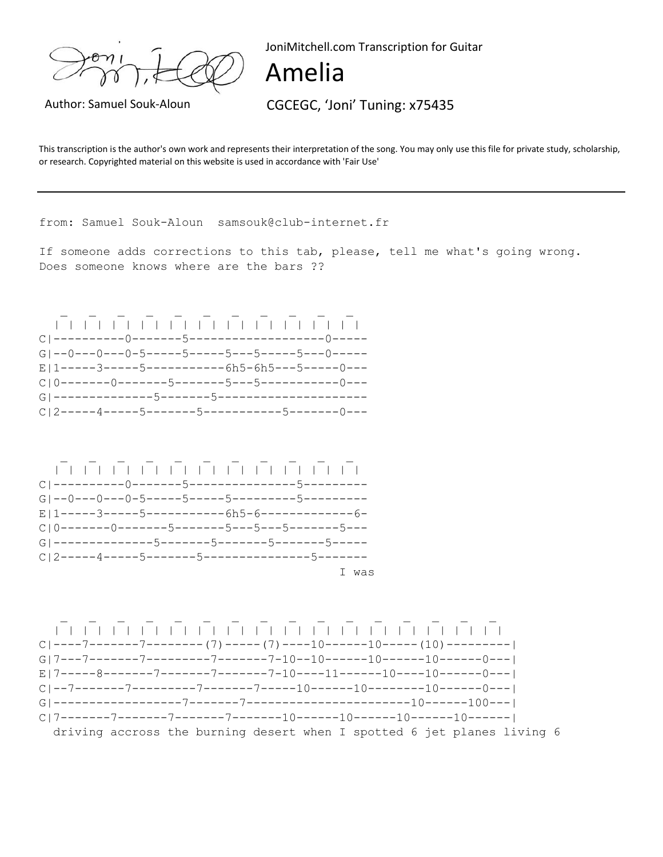JoniMitchell.com Transcription for Guitar

## Amelia

Author: Samuel Souk-Aloun CGCEGC, 'Joni' Tuning: x75435

This transcription is the author's own work and represents their interpretation of the song. You may only use this file for private study, scholarship, or research. Copyrighted material on this website is used in accordance with 'Fair Use'

from: Samuel Souk-Aloun samsouk@club-internet.fr

If someone adds corrections to this tab, please, tell me what's going wrong. Does someone knows where are the bars ??



driving accross the burning desert when I spotted 6 jet planes living 6